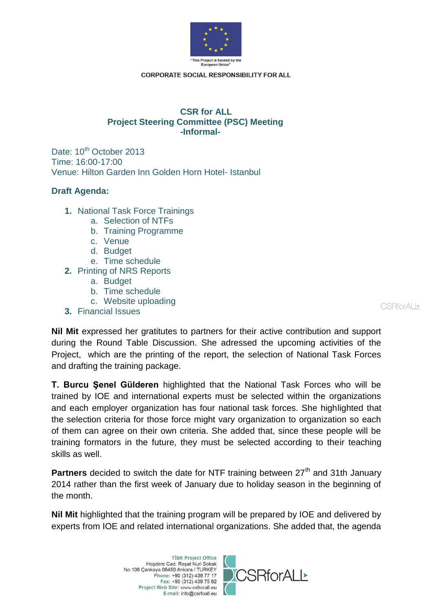

**CORPORATE SOCIAL RESPONSIBILITY FOR ALL** 

## **CSR for ALL Project Steering Committee (PSC) Meeting -Informal-**

Date: 10<sup>th</sup> October 2013 Time: 16:00-17:00 Venue: Hilton Garden Inn Golden Horn Hotel- Istanbul

## **Draft Agenda:**

- **1.** National Task Force Trainings
	- a. Selection of NTFs
	- b. Training Programme
	- c. Venue
	- d. Budget
	- e. Time schedule
- **2.** Printing of NRS Reports
	- a. Budget
	- b. Time schedule
	- c. Website uploading
- **3.** Financial Issues

CSRforALI

**Nil Mit** expressed her gratitutes to partners for their active contribution and support during the Round Table Discussion. She adressed the upcoming activities of the Project, which are the printing of the report, the selection of National Task Forces and drafting the training package.

**T. Burcu Şenel Gülderen** highlighted that the National Task Forces who will be trained by IOE and international experts must be selected within the organizations and each employer organization has four national task forces. She highlighted that the selection criteria for those force might vary organization to organization so each of them can agree on their own criteria. She added that, since these people will be training formators in the future, they must be selected according to their teaching skills as well.

**Partners** decided to switch the date for NTF training between 27<sup>th</sup> and 31th January 2014 rather than the first week of January due to holiday season in the beginning of the month.

**Nil Mit** highlighted that the training program will be prepared by IOE and delivered by experts from IOE and related international organizations. She added that, the agenda

> **TİSK Project Office** Hoşdere Cad. Reşat Nuri Sokak No.108 Çankaya 06450 Ankara / TURKEY Phone: +90 (312) 439 77 17 Fax: +90 (312) 439 75 92 Project Web Site: www.csfrorall.eu E-mail: info@csrfoall.eu